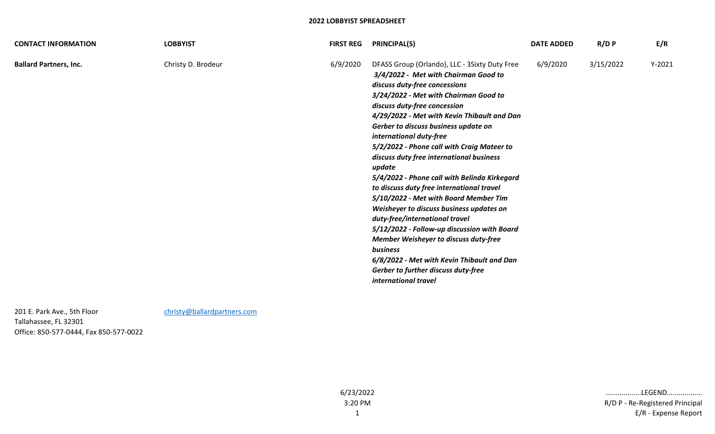| <b>CONTACT INFORMATION</b>    | <b>LOBBYIST</b>    | <b>FIRST REG</b> | <b>PRINCIPAL(S)</b>                                                                                                                                                                                                                                                                                                                                                                                                                                                                                                                                                                                                                                                                                                                                                                                                                                               | <b>DATE ADDED</b> | R/D P     | E/R      |
|-------------------------------|--------------------|------------------|-------------------------------------------------------------------------------------------------------------------------------------------------------------------------------------------------------------------------------------------------------------------------------------------------------------------------------------------------------------------------------------------------------------------------------------------------------------------------------------------------------------------------------------------------------------------------------------------------------------------------------------------------------------------------------------------------------------------------------------------------------------------------------------------------------------------------------------------------------------------|-------------------|-----------|----------|
| <b>Ballard Partners, Inc.</b> | Christy D. Brodeur | 6/9/2020         | DFASS Group (Orlando), LLC - 3Sixty Duty Free<br>3/4/2022 - Met with Chairman Good to<br>discuss duty-free concessions<br>3/24/2022 - Met with Chairman Good to<br>discuss duty-free concession<br>4/29/2022 - Met with Kevin Thibault and Dan<br>Gerber to discuss business update on<br>international duty-free<br>5/2/2022 - Phone call with Craig Mateer to<br>discuss duty free international business<br>update<br>5/4/2022 - Phone call with Belinda Kirkegard<br>to discuss duty free international travel<br>5/10/2022 - Met with Board Member Tim<br>Weisheyer to discuss business updates on<br>duty-free/international travel<br>5/12/2022 - Follow-up discussion with Board<br>Member Weisheyer to discuss duty-free<br><b>business</b><br>6/8/2022 - Met with Kevin Thibault and Dan<br>Gerber to further discuss duty-free<br>international travel | 6/9/2020          | 3/15/2022 | $Y-2021$ |

201 E. Park Ave., 5th Floor [christy@ballardpartners.com](mailto:christy@ballardpartners.com) Tallahassee, FL 32301 Office: 850-577-0444, Fax 850-577-0022

6/23/2022 3:20 PM

1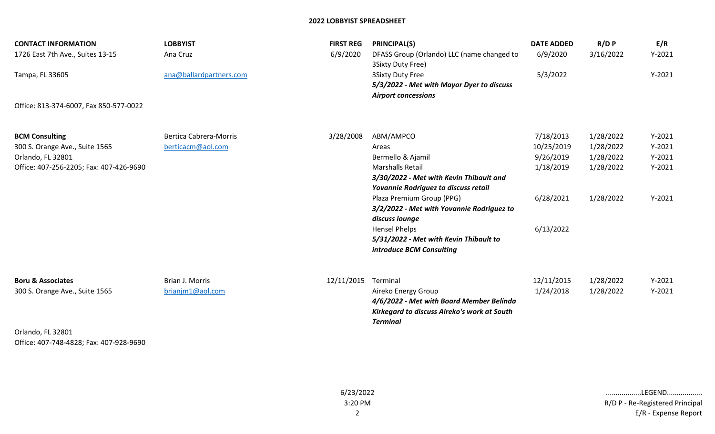| <b>CONTACT INFORMATION</b><br>1726 East 7th Ave., Suites 13-15<br>Tampa, FL 33605                                       | <b>LOBBYIST</b><br>Ana Cruz<br>ana@ballardpartners.com | <b>FIRST REG</b><br>6/9/2020 | <b>PRINCIPAL(S)</b><br>DFASS Group (Orlando) LLC (name changed to<br>3Sixty Duty Free)<br><b>3Sixty Duty Free</b><br>5/3/2022 - Met with Mayor Dyer to discuss<br><b>Airport concessions</b>                                                      | <b>DATE ADDED</b><br>6/9/2020<br>5/3/2022                      | R/D P<br>3/16/2022                                            | E/R<br>$Y-2021$<br>$Y-2021$                              |
|-------------------------------------------------------------------------------------------------------------------------|--------------------------------------------------------|------------------------------|---------------------------------------------------------------------------------------------------------------------------------------------------------------------------------------------------------------------------------------------------|----------------------------------------------------------------|---------------------------------------------------------------|----------------------------------------------------------|
| Office: 813-374-6007, Fax 850-577-0022                                                                                  |                                                        |                              |                                                                                                                                                                                                                                                   |                                                                |                                                               |                                                          |
| <b>BCM Consulting</b><br>300 S. Orange Ave., Suite 1565<br>Orlando, FL 32801<br>Office: 407-256-2205; Fax: 407-426-9690 | <b>Bertica Cabrera-Morris</b><br>berticacm@aol.com     | 3/28/2008                    | ABM/AMPCO<br>Areas<br>Bermello & Ajamil<br><b>Marshalls Retail</b><br>3/30/2022 - Met with Kevin Thibault and<br>Yovannie Rodriguez to discuss retail<br>Plaza Premium Group (PPG)<br>3/2/2022 - Met with Yovannie Rodriguez to<br>discuss lounge | 7/18/2013<br>10/25/2019<br>9/26/2019<br>1/18/2019<br>6/28/2021 | 1/28/2022<br>1/28/2022<br>1/28/2022<br>1/28/2022<br>1/28/2022 | $Y-2021$<br>$Y-2021$<br>$Y-2021$<br>$Y-2021$<br>$Y-2021$ |
|                                                                                                                         |                                                        |                              | <b>Hensel Phelps</b><br>5/31/2022 - Met with Kevin Thibault to<br>introduce BCM Consulting                                                                                                                                                        | 6/13/2022                                                      |                                                               |                                                          |
| <b>Boru &amp; Associates</b><br>300 S. Orange Ave., Suite 1565                                                          | Brian J. Morris<br>brianjm1@aol.com                    | 12/11/2015                   | Terminal<br>Aireko Energy Group<br>4/6/2022 - Met with Board Member Belinda<br>Kirkegard to discuss Aireko's work at South<br><b>Terminal</b>                                                                                                     | 12/11/2015<br>1/24/2018                                        | 1/28/2022<br>1/28/2022                                        | $Y-2021$<br>$Y-2021$                                     |
| Orlando, FL 32801                                                                                                       |                                                        |                              |                                                                                                                                                                                                                                                   |                                                                |                                                               |                                                          |

Office: 407-748-4828; Fax: 407-928-9690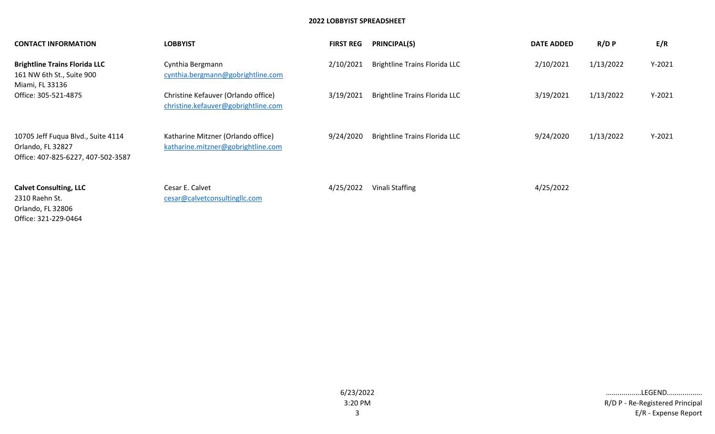| <b>CONTACT INFORMATION</b>                                                                    | <b>LOBBYIST</b>                                                            | <b>FIRST REG</b> | <b>PRINCIPAL(S)</b>                  | <b>DATE ADDED</b> | $R/D$ $P$ | E/R      |
|-----------------------------------------------------------------------------------------------|----------------------------------------------------------------------------|------------------|--------------------------------------|-------------------|-----------|----------|
| <b>Brightline Trains Florida LLC</b><br>161 NW 6th St., Suite 900<br>Miami, FL 33136          | Cynthia Bergmann<br>cynthia.bergmann@gobrightline.com                      | 2/10/2021        | <b>Brightline Trains Florida LLC</b> | 2/10/2021         | 1/13/2022 | $Y-2021$ |
| Office: 305-521-4875                                                                          | Christine Kefauver (Orlando office)<br>christine.kefauver@gobrightline.com | 3/19/2021        | <b>Brightline Trains Florida LLC</b> | 3/19/2021         | 1/13/2022 | $Y-2021$ |
| 10705 Jeff Fuqua Blvd., Suite 4114<br>Orlando, FL 32827<br>Office: 407-825-6227, 407-502-3587 | Katharine Mitzner (Orlando office)<br>katharine.mitzner@gobrightline.com   | 9/24/2020        | <b>Brightline Trains Florida LLC</b> | 9/24/2020         | 1/13/2022 | $Y-2021$ |
| <b>Calvet Consulting, LLC</b><br>2310 Raehn St.<br>Orlando, FL 32806<br>Office: 321-229-0464  | Cesar E. Calvet<br>cesar@calvetconsultingllc.com                           | 4/25/2022        | Vinali Staffing                      | 4/25/2022         |           |          |

E/R - Expense Report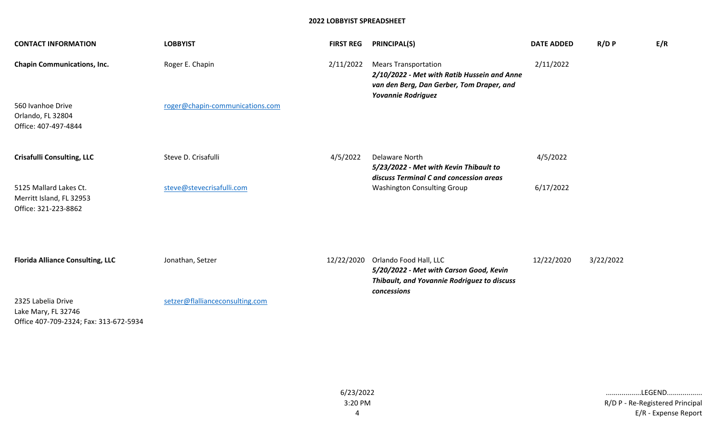| <b>CONTACT INFORMATION</b>                                                          | <b>LOBBYIST</b>                 | <b>FIRST REG</b> | <b>PRINCIPAL(S)</b>                                                                                                                                  | <b>DATE ADDED</b> | $R/D$ $P$ | E/R |
|-------------------------------------------------------------------------------------|---------------------------------|------------------|------------------------------------------------------------------------------------------------------------------------------------------------------|-------------------|-----------|-----|
| <b>Chapin Communications, Inc.</b>                                                  | Roger E. Chapin                 | 2/11/2022        | <b>Mears Transportation</b><br>2/10/2022 - Met with Ratib Hussein and Anne<br>van den Berg, Dan Gerber, Tom Draper, and<br><b>Yovannie Rodriguez</b> | 2/11/2022         |           |     |
| 560 Ivanhoe Drive<br>Orlando, FL 32804<br>Office: 407-497-4844                      | roger@chapin-communications.com |                  |                                                                                                                                                      |                   |           |     |
| <b>Crisafulli Consulting, LLC</b>                                                   | Steve D. Crisafulli             | 4/5/2022         | <b>Delaware North</b><br>5/23/2022 - Met with Kevin Thibault to<br>discuss Terminal C and concession areas                                           | 4/5/2022          |           |     |
| 5125 Mallard Lakes Ct.<br>Merritt Island, FL 32953<br>Office: 321-223-8862          | steve@stevecrisafulli.com       |                  | <b>Washington Consulting Group</b>                                                                                                                   | 6/17/2022         |           |     |
|                                                                                     |                                 |                  |                                                                                                                                                      |                   |           |     |
| <b>Florida Alliance Consulting, LLC</b>                                             | Jonathan, Setzer                |                  | 12/22/2020 Orlando Food Hall, LLC<br>5/20/2022 - Met with Carson Good, Kevin<br>Thibault, and Yovannie Rodriguez to discuss<br>concessions           | 12/22/2020        | 3/22/2022 |     |
| 2325 Labelia Drive<br>Lake Mary, FL 32746<br>Office 407-709-2324; Fax: 313-672-5934 | setzer@flallianceconsulting.com |                  |                                                                                                                                                      |                   |           |     |

6/23/2022 3:20 PM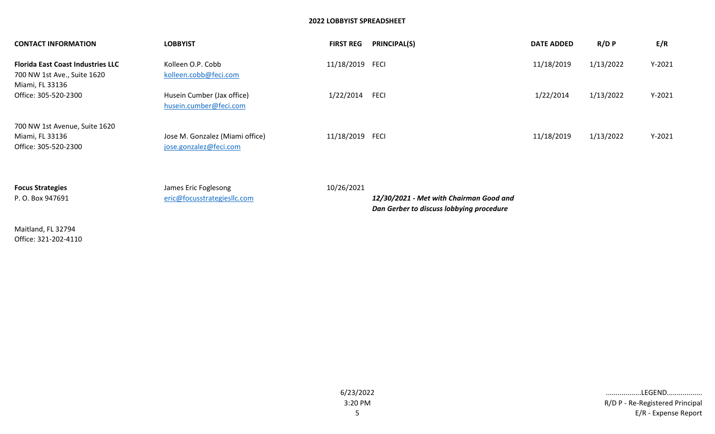| <b>CONTACT INFORMATION</b>                                                                 | <b>LOBBYIST</b>                                           | <b>FIRST REG</b> | <b>PRINCIPAL(S)</b>                     | <b>DATE ADDED</b> | $R/D$ $P$ | E/R      |
|--------------------------------------------------------------------------------------------|-----------------------------------------------------------|------------------|-----------------------------------------|-------------------|-----------|----------|
| <b>Florida East Coast Industries LLC</b><br>700 NW 1st Ave., Suite 1620<br>Miami, FL 33136 | Kolleen O.P. Cobb<br>kolleen.cobb@feci.com                | 11/18/2019 FECI  |                                         | 11/18/2019        | 1/13/2022 | $Y-2021$ |
| Office: 305-520-2300                                                                       | Husein Cumber (Jax office)<br>husein.cumber@feci.com      | 1/22/2014        | <b>FECI</b>                             | 1/22/2014         | 1/13/2022 | $Y-2021$ |
| 700 NW 1st Avenue, Suite 1620<br>Miami, FL 33136<br>Office: 305-520-2300                   | Jose M. Gonzalez (Miami office)<br>jose.gonzalez@feci.com | 11/18/2019 FECI  |                                         | 11/18/2019        | 1/13/2022 | $Y-2021$ |
| <b>Focus Strategies</b><br>P. O. Box 947691                                                | James Eric Foglesong<br>eric@focusstrategiesllc.com       | 10/26/2021       | 12/30/2021 - Met with Chairman Good and |                   |           |          |

*Dan Gerber to discuss lobbying procedure*

Maitland, FL 32794 Office: 321-202-4110

E/R - Expense Report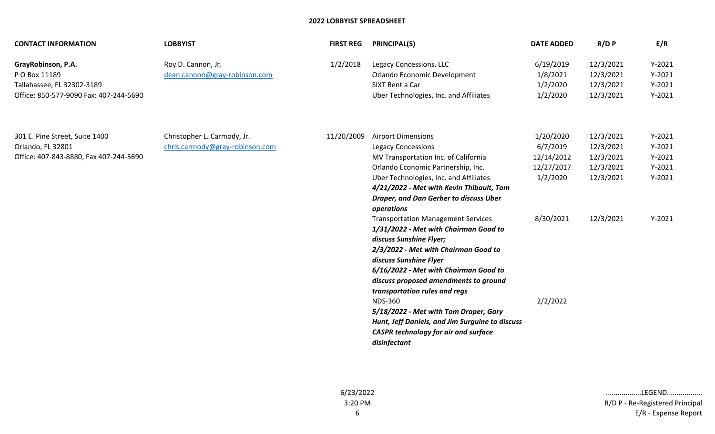| <b>CONTACT INFORMATION</b>                                                                                  | <b>LOBBYIST</b>                                                | <b>FIRST REG</b> | <b>PRINCIPAL(S)</b>                                                                                                                                                                                                                                                                                                                                                                                                                                                                                                                                                                                                                                                                                                                                                          | <b>DATE ADDED</b>                                                                      | $R/D$ $P$                                                                  | E/R                                                                  |
|-------------------------------------------------------------------------------------------------------------|----------------------------------------------------------------|------------------|------------------------------------------------------------------------------------------------------------------------------------------------------------------------------------------------------------------------------------------------------------------------------------------------------------------------------------------------------------------------------------------------------------------------------------------------------------------------------------------------------------------------------------------------------------------------------------------------------------------------------------------------------------------------------------------------------------------------------------------------------------------------------|----------------------------------------------------------------------------------------|----------------------------------------------------------------------------|----------------------------------------------------------------------|
| GrayRobinson, P.A.<br>P O Box 11189<br>Tallahassee, FL 32302-3189<br>Office: 850-577-9090 Fax: 407-244-5690 | Roy D. Cannon, Jr.<br>dean.cannon@gray-robinson.com            | 1/2/2018         | Legacy Concessions, LLC<br>Orlando Economic Development<br>SIXT Rent a Car<br>Uber Technologies, Inc. and Affiliates                                                                                                                                                                                                                                                                                                                                                                                                                                                                                                                                                                                                                                                         | 6/19/2019<br>1/8/2021<br>1/2/2020<br>1/2/2020                                          | 12/3/2021<br>12/3/2021<br>12/3/2021<br>12/3/2021                           | $Y-2021$<br>$Y-2021$<br>$Y-2021$<br>$Y-2021$                         |
| 301 E. Pine Street, Suite 1400<br>Orlando, FL 32801<br>Office: 407-843-8880, Fax 407-244-5690               | Christopher L. Carmody, Jr.<br>chris.carmody@gray-robinson.com | 11/20/2009       | <b>Airport Dimensions</b><br><b>Legacy Concessions</b><br>MV Transportation Inc. of California<br>Orlando Economic Partnership, Inc.<br>Uber Technologies, Inc. and Affiliates<br>4/21/2022 - Met with Kevin Thibault, Tom<br><b>Draper, and Dan Gerber to discuss Uber</b><br>operations<br><b>Transportation Management Services</b><br>1/31/2022 - Met with Chairman Good to<br>discuss Sunshine Flyer;<br>2/3/2022 - Met with Chairman Good to<br>discuss Sunshine Flyer<br>6/16/2022 - Met with Chairman Good to<br>discuss proposed amendments to ground<br>transportation rules and regs<br><b>NDS-360</b><br>5/18/2022 - Met with Tom Draper, Gary<br>Hunt, Jeff Daniels, and Jim Surguine to discuss<br><b>CASPR technology for air and surface</b><br>disinfectant | 1/20/2020<br>6/7/2019<br>12/14/2012<br>12/27/2017<br>1/2/2020<br>8/30/2021<br>2/2/2022 | 12/3/2021<br>12/3/2021<br>12/3/2021<br>12/3/2021<br>12/3/2021<br>12/3/2021 | $Y-2021$<br>$Y-2021$<br>$Y-2021$<br>$Y-2021$<br>$Y-2021$<br>$Y-2021$ |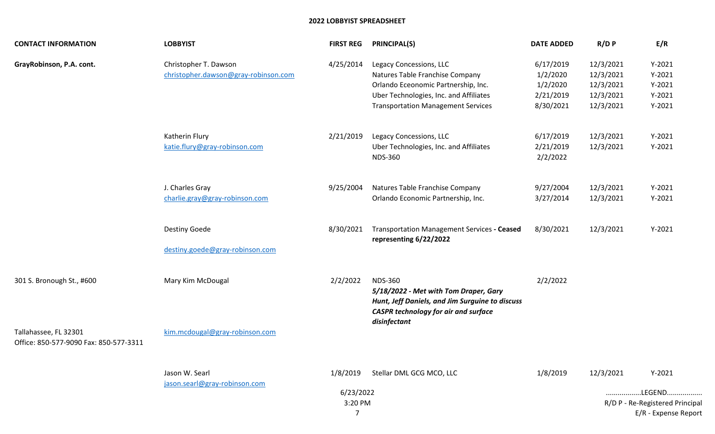| <b>CONTACT INFORMATION</b>                                      | <b>LOBBYIST</b>                                               | <b>FIRST REG</b>      | PRINCIPAL(S)                                                                                                                                                                             | <b>DATE ADDED</b>                                           | $R/D$ $P$                                                     | E/R                                                      |
|-----------------------------------------------------------------|---------------------------------------------------------------|-----------------------|------------------------------------------------------------------------------------------------------------------------------------------------------------------------------------------|-------------------------------------------------------------|---------------------------------------------------------------|----------------------------------------------------------|
| GrayRobinson, P.A. cont.                                        | Christopher T. Dawson<br>christopher.dawson@gray-robinson.com | 4/25/2014             | Legacy Concessions, LLC<br>Natures Table Franchise Company<br>Orlando Eceonomic Partnership, Inc.<br>Uber Technologies, Inc. and Affiliates<br><b>Transportation Management Services</b> | 6/17/2019<br>1/2/2020<br>1/2/2020<br>2/21/2019<br>8/30/2021 | 12/3/2021<br>12/3/2021<br>12/3/2021<br>12/3/2021<br>12/3/2021 | $Y-2021$<br>$Y-2021$<br>$Y-2021$<br>$Y-2021$<br>$Y-2021$ |
|                                                                 | Katherin Flury<br>katie.flury@gray-robinson.com               | 2/21/2019             | Legacy Concessions, LLC<br>Uber Technologies, Inc. and Affiliates<br><b>NDS-360</b>                                                                                                      | 6/17/2019<br>2/21/2019<br>2/2/2022                          | 12/3/2021<br>12/3/2021                                        | $Y-2021$<br>$Y-2021$                                     |
|                                                                 | J. Charles Gray<br>charlie.gray@gray-robinson.com             | 9/25/2004             | Natures Table Franchise Company<br>Orlando Economic Partnership, Inc.                                                                                                                    | 9/27/2004<br>3/27/2014                                      | 12/3/2021<br>12/3/2021                                        | $Y-2021$<br>$Y-2021$                                     |
|                                                                 | Destiny Goede<br>destiny.goede@gray-robinson.com              | 8/30/2021             | Transportation Management Services - Ceased<br>representing 6/22/2022                                                                                                                    | 8/30/2021                                                   | 12/3/2021                                                     | $Y-2021$                                                 |
| 301 S. Bronough St., #600                                       | Mary Kim McDougal                                             | 2/2/2022              | <b>NDS-360</b><br>5/18/2022 - Met with Tom Draper, Gary<br>Hunt, Jeff Daniels, and Jim Surguine to discuss<br><b>CASPR technology for air and surface</b><br>disinfectant                | 2/2/2022                                                    |                                                               |                                                          |
| Tallahassee, FL 32301<br>Office: 850-577-9090 Fax: 850-577-3311 | kim.mcdougal@gray-robinson.com                                |                       |                                                                                                                                                                                          |                                                             |                                                               |                                                          |
|                                                                 | Jason W. Searl<br>jason.searl@gray-robinson.com               | 1/8/2019<br>6/23/2022 | Stellar DML GCG MCO, LLC                                                                                                                                                                 | 1/8/2019                                                    | 12/3/2021                                                     | $Y-2021$<br>LEGEND                                       |
|                                                                 | 3:20 PM<br>$\overline{7}$                                     |                       |                                                                                                                                                                                          |                                                             |                                                               | R/D P - Re-Registered Principal<br>E/R - Expense Report  |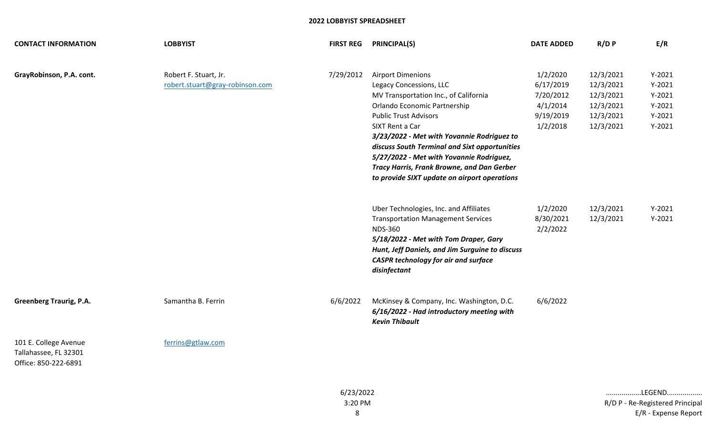| <b>CONTACT INFORMATION</b>                                             | <b>LOBBYIST</b>                                          | <b>FIRST REG</b> | <b>PRINCIPAL(S)</b>                                                                                                                                                                                                                                                                                                                                                                                                      | <b>DATE ADDED</b>                                                       | $R/D$ $P$                                                                  | E/R                                                                  |
|------------------------------------------------------------------------|----------------------------------------------------------|------------------|--------------------------------------------------------------------------------------------------------------------------------------------------------------------------------------------------------------------------------------------------------------------------------------------------------------------------------------------------------------------------------------------------------------------------|-------------------------------------------------------------------------|----------------------------------------------------------------------------|----------------------------------------------------------------------|
| GrayRobinson, P.A. cont.                                               | Robert F. Stuart, Jr.<br>robert.stuart@gray-robinson.com | 7/29/2012        | <b>Airport Dimenions</b><br>Legacy Concessions, LLC<br>MV Transportation Inc., of California<br>Orlando Economic Partnership<br><b>Public Trust Advisors</b><br>SIXT Rent a Car<br>3/23/2022 - Met with Yovannie Rodriguez to<br>discuss South Terminal and Sixt opportunities<br>5/27/2022 - Met with Yovannie Rodriguez,<br>Tracy Harris, Frank Browne, and Dan Gerber<br>to provide SIXT update on airport operations | 1/2/2020<br>6/17/2019<br>7/20/2012<br>4/1/2014<br>9/19/2019<br>1/2/2018 | 12/3/2021<br>12/3/2021<br>12/3/2021<br>12/3/2021<br>12/3/2021<br>12/3/2021 | $Y-2021$<br>$Y-2021$<br>$Y-2021$<br>$Y-2021$<br>$Y-2021$<br>$Y-2021$ |
|                                                                        |                                                          |                  | Uber Technologies, Inc. and Affiliates<br><b>Transportation Management Services</b><br><b>NDS-360</b><br>5/18/2022 - Met with Tom Draper, Gary<br>Hunt, Jeff Daniels, and Jim Surguine to discuss<br><b>CASPR technology for air and surface</b><br>disinfectant                                                                                                                                                         | 1/2/2020<br>8/30/2021<br>2/2/2022                                       | 12/3/2021<br>12/3/2021                                                     | $Y-2021$<br>$Y-2021$                                                 |
| <b>Greenberg Traurig, P.A.</b>                                         | Samantha B. Ferrin                                       | 6/6/2022         | McKinsey & Company, Inc. Washington, D.C.<br>6/16/2022 - Had introductory meeting with<br><b>Kevin Thibault</b>                                                                                                                                                                                                                                                                                                          | 6/6/2022                                                                |                                                                            |                                                                      |
| 101 E. College Avenue<br>Tallahassee, FL 32301<br>Office: 850-222-6891 | ferrins@gtlaw.com                                        |                  |                                                                                                                                                                                                                                                                                                                                                                                                                          |                                                                         |                                                                            |                                                                      |
|                                                                        |                                                          | 6/23/2022        |                                                                                                                                                                                                                                                                                                                                                                                                                          |                                                                         |                                                                            | LEGEND                                                               |

R/D P - Re-Registered Principal E/R - Expense Report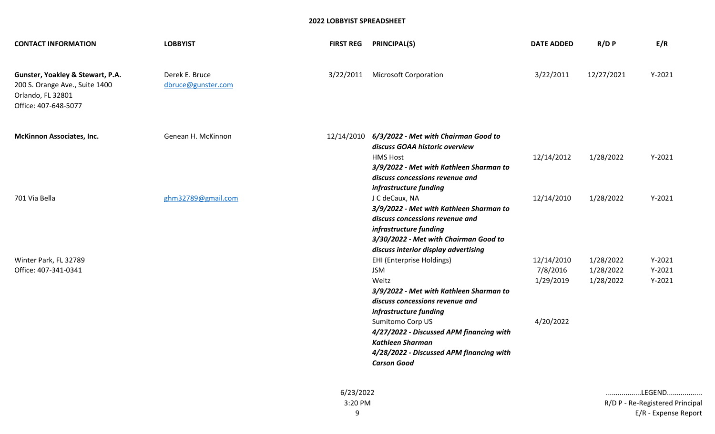| <b>CONTACT INFORMATION</b>                                                                                      | <b>LOBBYIST</b>                      | <b>FIRST REG</b> | <b>PRINCIPAL(S)</b>                                                                                                                                                                                                               | <b>DATE ADDED</b>                   | $R/D$ $P$                           | E/R                              |
|-----------------------------------------------------------------------------------------------------------------|--------------------------------------|------------------|-----------------------------------------------------------------------------------------------------------------------------------------------------------------------------------------------------------------------------------|-------------------------------------|-------------------------------------|----------------------------------|
| Gunster, Yoakley & Stewart, P.A.<br>200 S. Orange Ave., Suite 1400<br>Orlando, FL 32801<br>Office: 407-648-5077 | Derek E. Bruce<br>dbruce@gunster.com | 3/22/2011        | <b>Microsoft Corporation</b>                                                                                                                                                                                                      | 3/22/2011                           | 12/27/2021                          | $Y-2021$                         |
| <b>McKinnon Associates, Inc.</b>                                                                                | Genean H. McKinnon                   |                  | 12/14/2010 6/3/2022 - Met with Chairman Good to<br>discuss GOAA historic overview<br><b>HMS Host</b><br>3/9/2022 - Met with Kathleen Sharman to<br>discuss concessions revenue and                                                | 12/14/2012                          | 1/28/2022                           | $Y-2021$                         |
| 701 Via Bella                                                                                                   | ghm32789@gmail.com                   |                  | infrastructure funding<br>J C deCaux, NA<br>3/9/2022 - Met with Kathleen Sharman to<br>discuss concessions revenue and<br>infrastructure funding<br>3/30/2022 - Met with Chairman Good to<br>discuss interior display advertising | 12/14/2010                          | 1/28/2022                           | $Y-2021$                         |
| Winter Park, FL 32789<br>Office: 407-341-0341                                                                   |                                      |                  | EHI (Enterprise Holdings)<br><b>JSM</b><br>Weitz<br>3/9/2022 - Met with Kathleen Sharman to<br>discuss concessions revenue and                                                                                                    | 12/14/2010<br>7/8/2016<br>1/29/2019 | 1/28/2022<br>1/28/2022<br>1/28/2022 | $Y-2021$<br>$Y-2021$<br>$Y-2021$ |
|                                                                                                                 |                                      |                  | infrastructure funding<br>Sumitomo Corp US<br>4/27/2022 - Discussed APM financing with<br><b>Kathleen Sharman</b><br>4/28/2022 - Discussed APM financing with<br><b>Carson Good</b>                                               | 4/20/2022                           |                                     |                                  |

9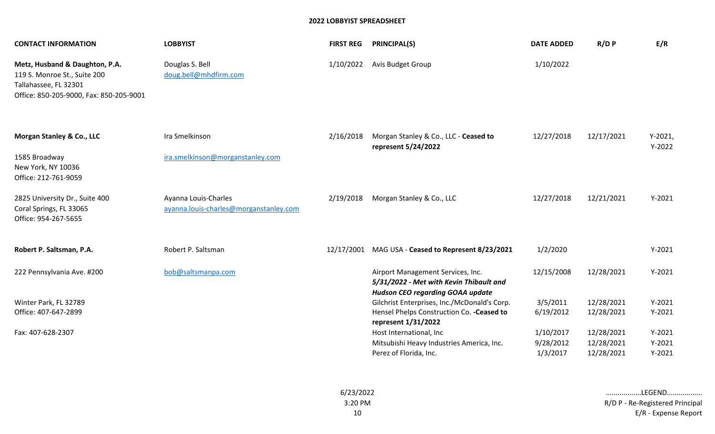| <b>CONTACT INFORMATION</b>                                                                                                         | <b>LOBBYIST</b>                                                | <b>FIRST REG</b> | <b>PRINCIPAL(S)</b>                                                                                                     | <b>DATE ADDED</b>                  | R/DP                                   | E/R                              |
|------------------------------------------------------------------------------------------------------------------------------------|----------------------------------------------------------------|------------------|-------------------------------------------------------------------------------------------------------------------------|------------------------------------|----------------------------------------|----------------------------------|
| Metz, Husband & Daughton, P.A.<br>119 S. Monroe St., Suite 200<br>Tallahassee, FL 32301<br>Office: 850-205-9000, Fax: 850-205-9001 | Douglas S. Bell<br>doug.bell@mhdfirm.com                       | 1/10/2022        | Avis Budget Group                                                                                                       | 1/10/2022                          |                                        |                                  |
| Morgan Stanley & Co., LLC<br>1585 Broadway                                                                                         | Ira Smelkinson<br>ira.smelkinson@morganstanley.com             | 2/16/2018        | Morgan Stanley & Co., LLC - Ceased to<br>represent 5/24/2022                                                            | 12/27/2018                         | 12/17/2021                             | $Y-2021,$<br>$Y-2022$            |
| New York, NY 10036<br>Office: 212-761-9059                                                                                         |                                                                |                  |                                                                                                                         |                                    |                                        |                                  |
| 2825 University Dr., Suite 400<br>Coral Springs, FL 33065<br>Office: 954-267-5655                                                  | Ayanna Louis-Charles<br>ayanna.louis-charles@morganstanley.com | 2/19/2018        | Morgan Stanley & Co., LLC                                                                                               | 12/27/2018                         | 12/21/2021                             | $Y-2021$                         |
| Robert P. Saltsman, P.A.                                                                                                           | Robert P. Saltsman                                             |                  | 12/17/2001 MAG USA - Ceased to Represent 8/23/2021                                                                      | 1/2/2020                           |                                        | $Y-2021$                         |
| 222 Pennsylvania Ave. #200                                                                                                         | bob@saltsmanpa.com                                             |                  | Airport Management Services, Inc.<br>5/31/2022 - Met with Kevin Thibault and<br><b>Hudson CEO regarding GOAA update</b> | 12/15/2008                         | 12/28/2021                             | $Y-2021$                         |
| Winter Park, FL 32789<br>Office: 407-647-2899                                                                                      |                                                                |                  | Gilchrist Enterprises, Inc./McDonald's Corp.<br>Hensel Phelps Construction Co. - Ceased to<br>represent 1/31/2022       | 3/5/2011<br>6/19/2012              | 12/28/2021<br>12/28/2021               | $Y-2021$<br>$Y-2021$             |
| Fax: 407-628-2307                                                                                                                  |                                                                |                  | Host International, Inc<br>Mitsubishi Heavy Industries America, Inc.<br>Perez of Florida, Inc.                          | 1/10/2017<br>9/28/2012<br>1/3/2017 | 12/28/2021<br>12/28/2021<br>12/28/2021 | $Y-2021$<br>$Y-2021$<br>$Y-2021$ |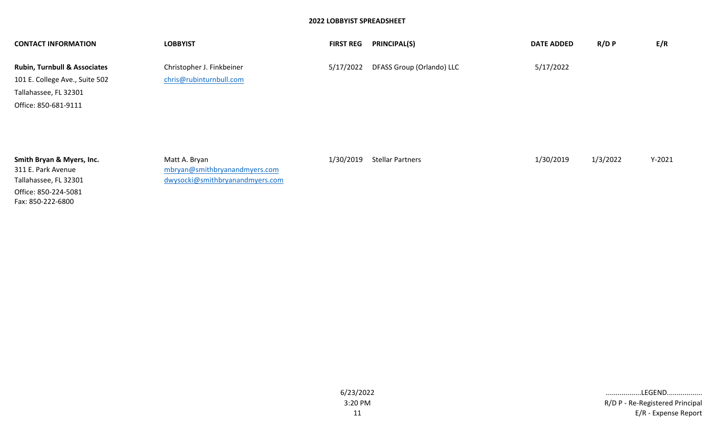| <b>CONTACT INFORMATION</b>              | <b>LOBBYIST</b>                 | <b>FIRST REG</b> | <b>PRINCIPAL(S)</b>       | <b>DATE ADDED</b> | $R/D$ $P$ | E/R      |
|-----------------------------------------|---------------------------------|------------------|---------------------------|-------------------|-----------|----------|
| <b>Rubin, Turnbull &amp; Associates</b> | Christopher J. Finkbeiner       | 5/17/2022        | DFASS Group (Orlando) LLC | 5/17/2022         |           |          |
| 101 E. College Ave., Suite 502          | chris@rubinturnbull.com         |                  |                           |                   |           |          |
| Tallahassee, FL 32301                   |                                 |                  |                           |                   |           |          |
| Office: 850-681-9111                    |                                 |                  |                           |                   |           |          |
|                                         |                                 |                  |                           |                   |           |          |
|                                         |                                 |                  |                           |                   |           |          |
|                                         |                                 |                  |                           |                   |           |          |
| Smith Bryan & Myers, Inc.               | Matt A. Bryan                   | 1/30/2019        | <b>Stellar Partners</b>   | 1/30/2019         | 1/3/2022  | $Y-2021$ |
| 311 E. Park Avenue                      | mbryan@smithbryanandmyers.com   |                  |                           |                   |           |          |
| Tallahassee, FL 32301                   | dwysocki@smithbryanandmyers.com |                  |                           |                   |           |          |

Office: 850-224-5081 Fax: 850-222-6800

E/R - Expense Report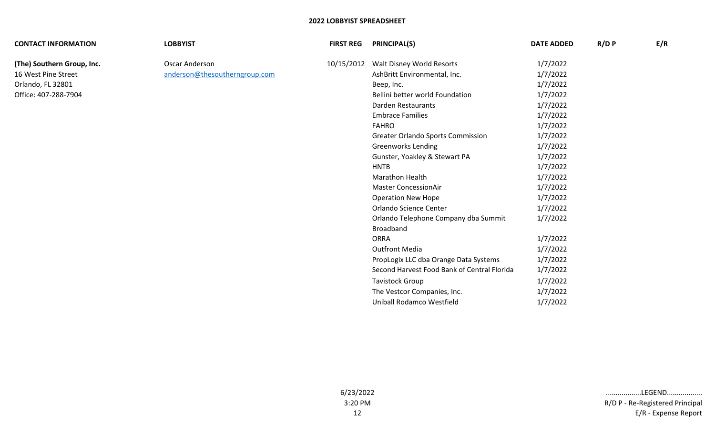| <b>CONTACT INFORMATION</b> | <b>LOBBYIST</b>               | <b>FIRST REG</b> | <b>PRINCIPAL(S)</b>                         | <b>DATE ADDED</b> | R/D P | E/R |
|----------------------------|-------------------------------|------------------|---------------------------------------------|-------------------|-------|-----|
| (The) Southern Group, Inc. | Oscar Anderson                | 10/15/2012       | Walt Disney World Resorts                   | 1/7/2022          |       |     |
| 16 West Pine Street        | anderson@thesoutherngroup.com |                  | AshBritt Environmental, Inc.                | 1/7/2022          |       |     |
| Orlando, FL 32801          |                               |                  | Beep, Inc.                                  | 1/7/2022          |       |     |
| Office: 407-288-7904       |                               |                  | Bellini better world Foundation             | 1/7/2022          |       |     |
|                            |                               |                  | Darden Restaurants                          | 1/7/2022          |       |     |
|                            |                               |                  | <b>Embrace Families</b>                     | 1/7/2022          |       |     |
|                            |                               |                  | <b>FAHRO</b>                                | 1/7/2022          |       |     |
|                            |                               |                  | <b>Greater Orlando Sports Commission</b>    | 1/7/2022          |       |     |
|                            |                               |                  | <b>Greenworks Lending</b>                   | 1/7/2022          |       |     |
|                            |                               |                  | Gunster, Yoakley & Stewart PA               | 1/7/2022          |       |     |
|                            |                               |                  | <b>HNTB</b>                                 | 1/7/2022          |       |     |
|                            |                               |                  | Marathon Health                             | 1/7/2022          |       |     |
|                            |                               |                  | <b>Master ConcessionAir</b>                 | 1/7/2022          |       |     |
|                            |                               |                  | <b>Operation New Hope</b>                   | 1/7/2022          |       |     |
|                            |                               |                  | Orlando Science Center                      | 1/7/2022          |       |     |
|                            |                               |                  | Orlando Telephone Company dba Summit        | 1/7/2022          |       |     |
|                            |                               |                  | Broadband                                   |                   |       |     |
|                            |                               |                  | <b>ORRA</b>                                 | 1/7/2022          |       |     |
|                            |                               |                  | <b>Outfront Media</b>                       | 1/7/2022          |       |     |
|                            |                               |                  | PropLogix LLC dba Orange Data Systems       | 1/7/2022          |       |     |
|                            |                               |                  | Second Harvest Food Bank of Central Florida | 1/7/2022          |       |     |
|                            |                               |                  | <b>Tavistock Group</b>                      | 1/7/2022          |       |     |
|                            |                               |                  | The Vestcor Companies, Inc.                 | 1/7/2022          |       |     |
|                            |                               |                  | Uniball Rodamco Westfield                   | 1/7/2022          |       |     |
|                            |                               |                  |                                             |                   |       |     |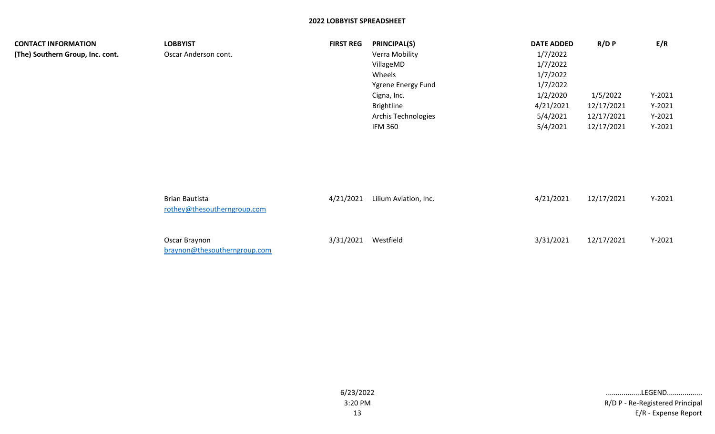| <b>CONTACT INFORMATION</b>       | <b>LOBBYIST</b>                                      | <b>FIRST REG</b> | <b>PRINCIPAL(S)</b>        | <b>DATE ADDED</b> | R/D P      | E/R      |
|----------------------------------|------------------------------------------------------|------------------|----------------------------|-------------------|------------|----------|
| (The) Southern Group, Inc. cont. | Oscar Anderson cont.                                 |                  | Verra Mobility             | 1/7/2022          |            |          |
|                                  |                                                      |                  | VillageMD                  | 1/7/2022          |            |          |
|                                  |                                                      |                  | Wheels                     | 1/7/2022          |            |          |
|                                  |                                                      |                  | Ygrene Energy Fund         | 1/7/2022          |            |          |
|                                  |                                                      |                  | Cigna, Inc.                | 1/2/2020          | 1/5/2022   | $Y-2021$ |
|                                  |                                                      |                  | <b>Brightline</b>          | 4/21/2021         | 12/17/2021 | $Y-2021$ |
|                                  |                                                      |                  | <b>Archis Technologies</b> | 5/4/2021          | 12/17/2021 | $Y-2021$ |
|                                  |                                                      |                  | <b>IFM 360</b>             | 5/4/2021          | 12/17/2021 | $Y-2021$ |
|                                  |                                                      |                  |                            |                   |            |          |
|                                  |                                                      |                  |                            |                   |            |          |
|                                  | <b>Brian Bautista</b><br>rothey@thesoutherngroup.com | 4/21/2021        | Lilium Aviation, Inc.      | 4/21/2021         | 12/17/2021 | $Y-2021$ |

| Oscar Braynon                | 3/31/2021 Westfield | 3/31/2021 | 12/17/2021 | $Y-2021$ |
|------------------------------|---------------------|-----------|------------|----------|
| braynon@thesoutherngroup.com |                     |           |            |          |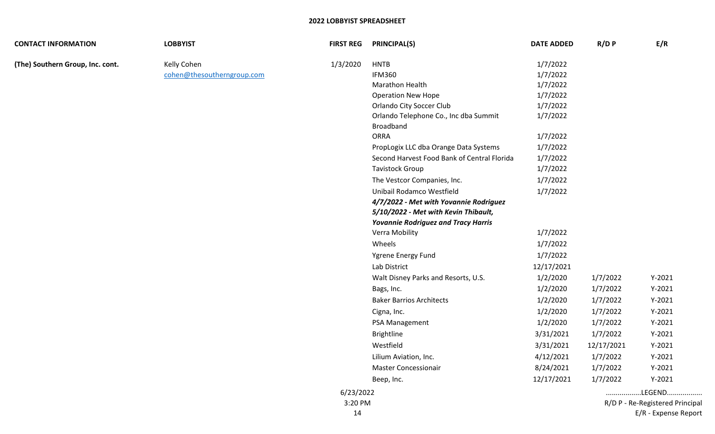| <b>CONTACT INFORMATION</b>       | <b>LOBBYIST</b>            | <b>FIRST REG</b> | <b>PRINCIPAL(S)</b>                         | <b>DATE ADDED</b> | R/D P      | E/R                             |
|----------------------------------|----------------------------|------------------|---------------------------------------------|-------------------|------------|---------------------------------|
| (The) Southern Group, Inc. cont. | Kelly Cohen                | 1/3/2020         | <b>HNTB</b>                                 | 1/7/2022          |            |                                 |
|                                  | cohen@thesoutherngroup.com |                  | <b>IFM360</b>                               | 1/7/2022          |            |                                 |
|                                  |                            |                  | <b>Marathon Health</b>                      | 1/7/2022          |            |                                 |
|                                  |                            |                  | <b>Operation New Hope</b>                   | 1/7/2022          |            |                                 |
|                                  |                            |                  | <b>Orlando City Soccer Club</b>             | 1/7/2022          |            |                                 |
|                                  |                            |                  | Orlando Telephone Co., Inc dba Summit       | 1/7/2022          |            |                                 |
|                                  |                            |                  | Broadband                                   |                   |            |                                 |
|                                  |                            |                  | <b>ORRA</b>                                 | 1/7/2022          |            |                                 |
|                                  |                            |                  | PropLogix LLC dba Orange Data Systems       | 1/7/2022          |            |                                 |
|                                  |                            |                  | Second Harvest Food Bank of Central Florida | 1/7/2022          |            |                                 |
|                                  |                            |                  | <b>Tavistock Group</b>                      | 1/7/2022          |            |                                 |
|                                  |                            |                  | The Vestcor Companies, Inc.                 | 1/7/2022          |            |                                 |
|                                  |                            |                  | Unibail Rodamco Westfield                   | 1/7/2022          |            |                                 |
|                                  |                            |                  | 4/7/2022 - Met with Yovannie Rodriguez      |                   |            |                                 |
|                                  |                            |                  | 5/10/2022 - Met with Kevin Thibault,        |                   |            |                                 |
|                                  |                            |                  | <b>Yovannie Rodriguez and Tracy Harris</b>  |                   |            |                                 |
|                                  |                            |                  | Verra Mobility                              | 1/7/2022          |            |                                 |
|                                  |                            |                  | Wheels                                      | 1/7/2022          |            |                                 |
|                                  |                            |                  | Ygrene Energy Fund                          | 1/7/2022          |            |                                 |
|                                  |                            |                  | Lab District                                | 12/17/2021        |            |                                 |
|                                  |                            |                  | Walt Disney Parks and Resorts, U.S.         | 1/2/2020          | 1/7/2022   | $Y-2021$                        |
|                                  |                            |                  | Bags, Inc.                                  | 1/2/2020          | 1/7/2022   | $Y-2021$                        |
|                                  |                            |                  | <b>Baker Barrios Architects</b>             | 1/2/2020          | 1/7/2022   | $Y-2021$                        |
|                                  |                            |                  | Cigna, Inc.                                 | 1/2/2020          | 1/7/2022   | $Y-2021$                        |
|                                  |                            |                  | PSA Management                              | 1/2/2020          | 1/7/2022   | $Y-2021$                        |
|                                  |                            |                  | Brightline                                  | 3/31/2021         | 1/7/2022   | $Y-2021$                        |
|                                  |                            |                  | Westfield                                   | 3/31/2021         | 12/17/2021 | $Y-2021$                        |
|                                  |                            |                  | Lilium Aviation, Inc.                       | 4/12/2021         | 1/7/2022   | $Y-2021$                        |
|                                  |                            |                  | <b>Master Concessionair</b>                 | 8/24/2021         | 1/7/2022   | $Y-2021$                        |
|                                  |                            |                  | Beep, Inc.                                  | 12/17/2021        | 1/7/2022   | $Y-2021$                        |
|                                  |                            | 6/23/2022        |                                             |                   |            | LEGEND                          |
|                                  |                            | 3:20 PM          |                                             |                   |            | R/D P - Re-Registered Principal |
|                                  |                            | 14               |                                             |                   |            | E/R - Expense Report            |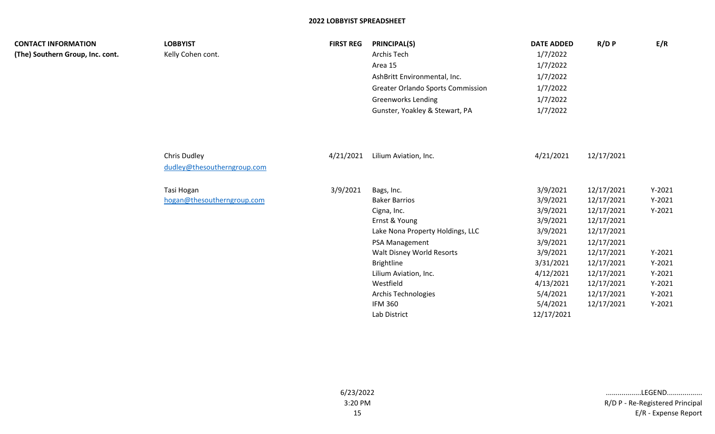| <b>CONTACT INFORMATION</b><br>(The) Southern Group, Inc. cont. | <b>LOBBYIST</b><br>Kelly Cohen cont.        | <b>FIRST REG</b> | <b>PRINCIPAL(S)</b><br>Archis Tech<br>Area 15<br>AshBritt Environmental, Inc.<br><b>Greater Orlando Sports Commission</b><br><b>Greenworks Lending</b><br>Gunster, Yoakley & Stewart, PA                                                                                         | <b>DATE ADDED</b><br>1/7/2022<br>1/7/2022<br>1/7/2022<br>1/7/2022<br>1/7/2022<br>1/7/2022                                                                     | R/D P                                                                                                                                                                | E/R                                                                                                      |
|----------------------------------------------------------------|---------------------------------------------|------------------|----------------------------------------------------------------------------------------------------------------------------------------------------------------------------------------------------------------------------------------------------------------------------------|---------------------------------------------------------------------------------------------------------------------------------------------------------------|----------------------------------------------------------------------------------------------------------------------------------------------------------------------|----------------------------------------------------------------------------------------------------------|
|                                                                | Chris Dudley<br>dudley@thesoutherngroup.com | 4/21/2021        | Lilium Aviation, Inc.                                                                                                                                                                                                                                                            | 4/21/2021                                                                                                                                                     | 12/17/2021                                                                                                                                                           |                                                                                                          |
|                                                                | Tasi Hogan<br>hogan@thesoutherngroup.com    | 3/9/2021         | Bags, Inc.<br><b>Baker Barrios</b><br>Cigna, Inc.<br>Ernst & Young<br>Lake Nona Property Holdings, LLC<br>PSA Management<br>Walt Disney World Resorts<br><b>Brightline</b><br>Lilium Aviation, Inc.<br>Westfield<br><b>Archis Technologies</b><br><b>IFM 360</b><br>Lab District | 3/9/2021<br>3/9/2021<br>3/9/2021<br>3/9/2021<br>3/9/2021<br>3/9/2021<br>3/9/2021<br>3/31/2021<br>4/12/2021<br>4/13/2021<br>5/4/2021<br>5/4/2021<br>12/17/2021 | 12/17/2021<br>12/17/2021<br>12/17/2021<br>12/17/2021<br>12/17/2021<br>12/17/2021<br>12/17/2021<br>12/17/2021<br>12/17/2021<br>12/17/2021<br>12/17/2021<br>12/17/2021 | $Y-2021$<br>$Y-2021$<br>$Y-2021$<br>$Y-2021$<br>$Y-2021$<br>$Y-2021$<br>$Y-2021$<br>$Y-2021$<br>$Y-2021$ |